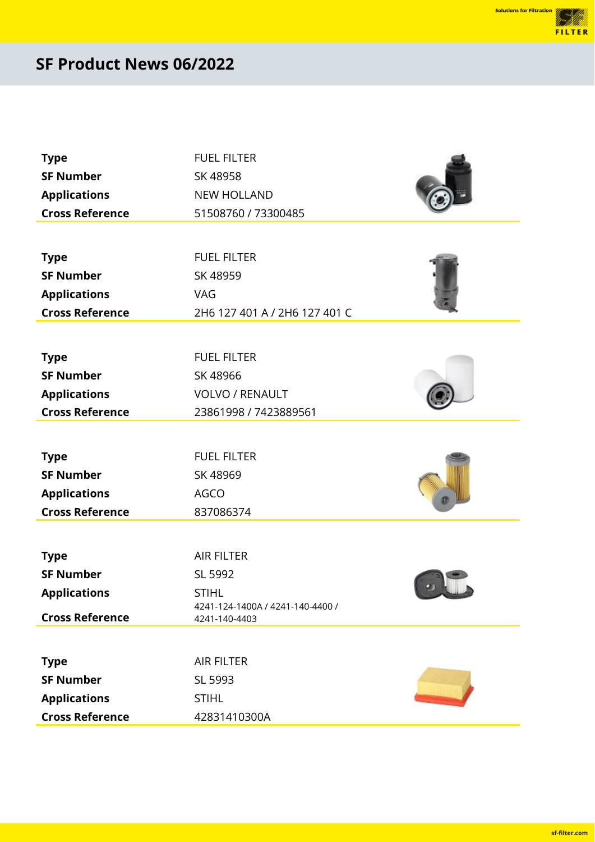en de la familie de la familie de la familie de la familie de la familie de la familie de la familie de la fa<br>Estat de la familie de la familie de la familie de la familie de la familie de la familie de la familie de la FILTER

| <b>Type</b>            | <b>FUEL FILTER</b>                                |
|------------------------|---------------------------------------------------|
| <b>SF Number</b>       | SK 48958                                          |
| <b>Applications</b>    | <b>NEW HOLLAND</b>                                |
| <b>Cross Reference</b> | 51508760 / 73300485                               |
|                        |                                                   |
| <b>Type</b>            | <b>FUEL FILTER</b>                                |
| <b>SF Number</b>       | SK 48959                                          |
| <b>Applications</b>    | VAG                                               |
| <b>Cross Reference</b> | 2H6 127 401 A / 2H6 127 401 C                     |
|                        |                                                   |
| <b>Type</b>            | <b>FUEL FILTER</b>                                |
| <b>SF Number</b>       | SK 48966                                          |
| <b>Applications</b>    | <b>VOLVO / RENAULT</b>                            |
| <b>Cross Reference</b> | 23861998 / 7423889561                             |
|                        |                                                   |
| <b>Type</b>            | <b>FUEL FILTER</b>                                |
| <b>SF Number</b>       | SK 48969                                          |
| <b>Applications</b>    | <b>AGCO</b>                                       |
| <b>Cross Reference</b> | 837086374                                         |
|                        |                                                   |
| <b>Type</b>            | <b>AIR FILTER</b>                                 |
| <b>SF Number</b>       | SL 5992                                           |
| <b>Applications</b>    | <b>STIHL</b>                                      |
| <b>Cross Reference</b> | 4241-124-1400A / 4241-140-4400 /<br>4241-140-4403 |
|                        |                                                   |
| <b>Type</b>            | <b>AIR FILTER</b>                                 |
| <b>SF Number</b>       | SL 5993                                           |
| <b>Applications</b>    | <b>STIHL</b>                                      |
| <b>Cross Reference</b> | 42831410300A                                      |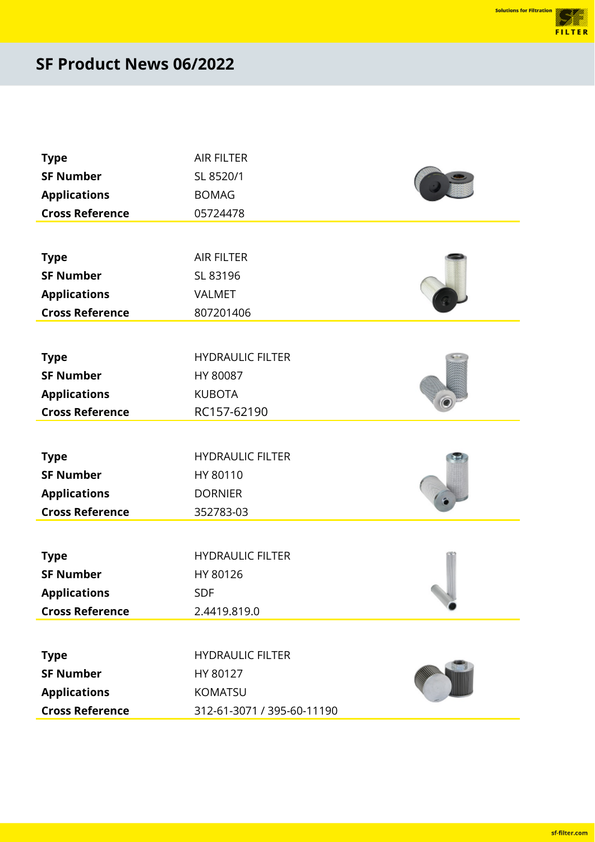ellit<br>Uli FILTER

| <b>Type</b>            | <b>AIR FILTER</b>          |  |
|------------------------|----------------------------|--|
| <b>SF Number</b>       | SL 8520/1                  |  |
| <b>Applications</b>    | <b>BOMAG</b>               |  |
| <b>Cross Reference</b> | 05724478                   |  |
|                        |                            |  |
| <b>Type</b>            | <b>AIR FILTER</b>          |  |
| <b>SF Number</b>       | SL 83196                   |  |
| <b>Applications</b>    | <b>VALMET</b>              |  |
| <b>Cross Reference</b> | 807201406                  |  |
|                        |                            |  |
| <b>Type</b>            | <b>HYDRAULIC FILTER</b>    |  |
| <b>SF Number</b>       | HY 80087                   |  |
| <b>Applications</b>    | <b>KUBOTA</b>              |  |
| <b>Cross Reference</b> | RC157-62190                |  |
|                        |                            |  |
| <b>Type</b>            | <b>HYDRAULIC FILTER</b>    |  |
| <b>SF Number</b>       | HY 80110                   |  |
| <b>Applications</b>    | <b>DORNIER</b>             |  |
| <b>Cross Reference</b> | 352783-03                  |  |
|                        |                            |  |
| <b>Type</b>            | <b>HYDRAULIC FILTER</b>    |  |
| <b>SF Number</b>       | HY 80126                   |  |
| <b>Applications</b>    | <b>SDF</b>                 |  |
| <b>Cross Reference</b> | 2.4419.819.0               |  |
|                        |                            |  |
| <b>Type</b>            | <b>HYDRAULIC FILTER</b>    |  |
| <b>SF Number</b>       | HY 80127                   |  |
| <b>Applications</b>    | KOMATSU                    |  |
| <b>Cross Reference</b> | 312-61-3071 / 395-60-11190 |  |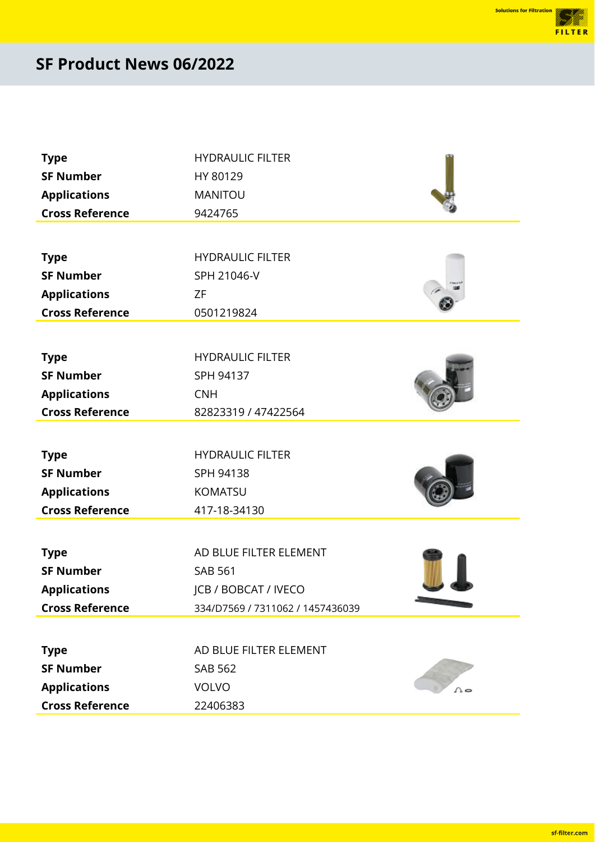<u>est till</u> FILTER

| <b>Type</b>            | <b>HYDRAULIC FILTER</b>          |  |
|------------------------|----------------------------------|--|
| <b>SF Number</b>       | HY 80129                         |  |
| <b>Applications</b>    | MANITOU                          |  |
| <b>Cross Reference</b> | 9424765                          |  |
|                        |                                  |  |
| <b>Type</b>            | <b>HYDRAULIC FILTER</b>          |  |
| <b>SF Number</b>       | SPH 21046-V                      |  |
| <b>Applications</b>    | <b>ZF</b>                        |  |
| <b>Cross Reference</b> | 0501219824                       |  |
|                        |                                  |  |
| <b>Type</b>            | <b>HYDRAULIC FILTER</b>          |  |
| <b>SF Number</b>       | SPH 94137                        |  |
| <b>Applications</b>    | <b>CNH</b>                       |  |
| <b>Cross Reference</b> | 82823319 / 47422564              |  |
|                        |                                  |  |
| <b>Type</b>            | <b>HYDRAULIC FILTER</b>          |  |
| <b>SF Number</b>       | SPH 94138                        |  |
| <b>Applications</b>    | KOMATSU                          |  |
| <b>Cross Reference</b> | 417-18-34130                     |  |
|                        |                                  |  |
| <b>Type</b>            | AD BLUE FILTER ELEMENT           |  |
| <b>SF Number</b>       | <b>SAB 561</b>                   |  |
| <b>Applications</b>    | JCB / BOBCAT / IVECO             |  |
| <b>Cross Reference</b> | 334/D7569 / 7311062 / 1457436039 |  |
|                        |                                  |  |
| <b>Type</b>            | AD BLUE FILTER ELEMENT           |  |
| <b>SF Number</b>       | <b>SAB 562</b>                   |  |
| <b>Applications</b>    | <b>VOLVO</b>                     |  |
| <b>Cross Reference</b> | 22406383                         |  |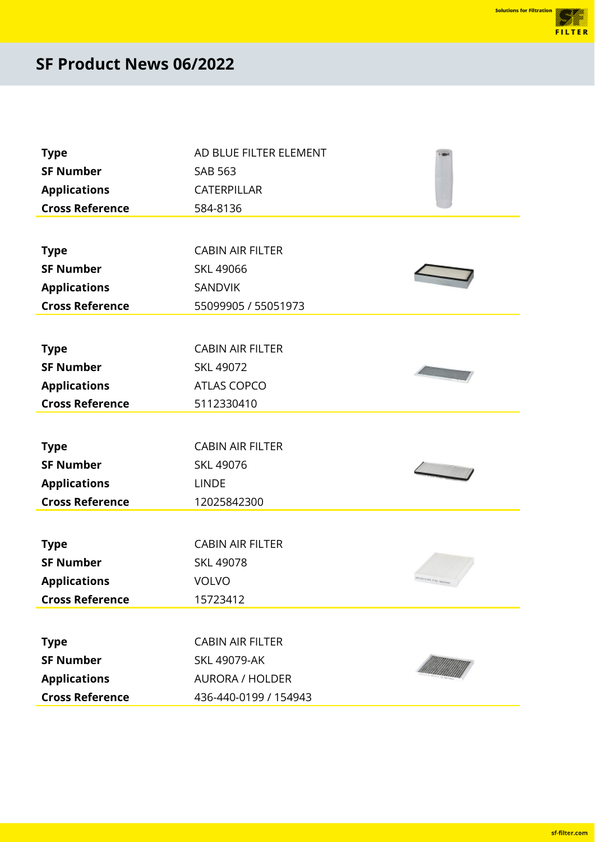<u>film</u> FILTER

| <b>Type</b>            | AD BLUE FILTER ELEMENT  |  |
|------------------------|-------------------------|--|
| <b>SF Number</b>       | <b>SAB 563</b>          |  |
| <b>Applications</b>    | CATERPILLAR             |  |
| <b>Cross Reference</b> | 584-8136                |  |
|                        |                         |  |
| <b>Type</b>            | <b>CABIN AIR FILTER</b> |  |
| <b>SF Number</b>       | <b>SKL 49066</b>        |  |
| <b>Applications</b>    | <b>SANDVIK</b>          |  |
| <b>Cross Reference</b> | 55099905 / 55051973     |  |
|                        |                         |  |
| <b>Type</b>            | <b>CABIN AIR FILTER</b> |  |
| <b>SF Number</b>       | SKL 49072               |  |
| <b>Applications</b>    | <b>ATLAS COPCO</b>      |  |
| <b>Cross Reference</b> | 5112330410              |  |
|                        |                         |  |
| <b>Type</b>            | <b>CABIN AIR FILTER</b> |  |
| <b>SF Number</b>       | SKL 49076               |  |
| <b>Applications</b>    | <b>LINDE</b>            |  |
| <b>Cross Reference</b> | 12025842300             |  |
|                        |                         |  |
| <b>Type</b>            | <b>CABIN AIR FILTER</b> |  |
| <b>SF Number</b>       | <b>SKL 49078</b>        |  |
| <b>Applications</b>    | <b>VOLVO</b>            |  |
| <b>Cross Reference</b> | 15723412                |  |
|                        |                         |  |
| <b>Type</b>            | <b>CABIN AIR FILTER</b> |  |
| <b>SF Number</b>       | <b>SKL 49079-AK</b>     |  |
| <b>Applications</b>    | <b>AURORA / HOLDER</b>  |  |
| <b>Cross Reference</b> | 436-440-0199 / 154943   |  |